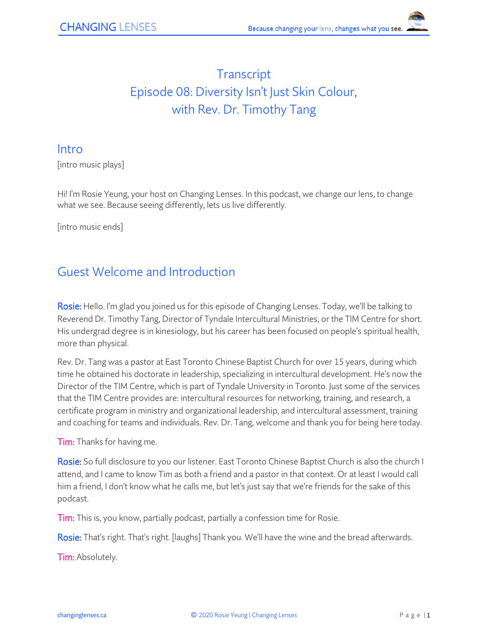# **Transcript** Episode 08: Diversity Isn't Just Skin Colour, with Rev. Dr. Timothy Tang

#### Intro

[intro music plays]

Hi! I'm Rosie Yeung, your host on Changing Lenses. In this podcast, we change our lens, to change what we see. Because seeing differently, lets us live differently.

[intro music ends]

## Guest Welcome and Introduction

Rosie: Hello. I'm glad you joined us for this episode of Changing Lenses. Today, we'll be talking to Reverend Dr. Timothy Tang, Director of Tyndale Intercultural Ministries, or the TIM Centre for short. His undergrad degree is in kinesiology, but his career has been focused on people's spiritual health, more than physical.

Rev. Dr. Tang was a pastor at East Toronto Chinese Baptist Church for over 15 years, during which time he obtained his doctorate in leadership, specializing in intercultural development. He's now the Director of the TIM Centre, which is part of Tyndale University in Toronto. Just some of the services that the TIM Centre provides are: intercultural resources for networking, training, and research, a certificate program in ministry and organizational leadership, and intercultural assessment, training and coaching for teams and individuals. Rev. Dr. Tang, welcome and thank you for being here today.

**Tim:** Thanks for having me.

Rosie: So full disclosure to you our listener. East Toronto Chinese Baptist Church is also the church I attend, and I came to know Tim as both a friend and a pastor in that context. Or at least I would call him a friend, I don't know what he calls me, but let's just say that we're friends for the sake of this podcast.

Tim: This is, you know, partially podcast, partially a confession time for Rosie.

Rosie: That's right. That's right. [laughs] Thank you. We'll have the wine and the bread afterwards.

**Tim:** Absolutely.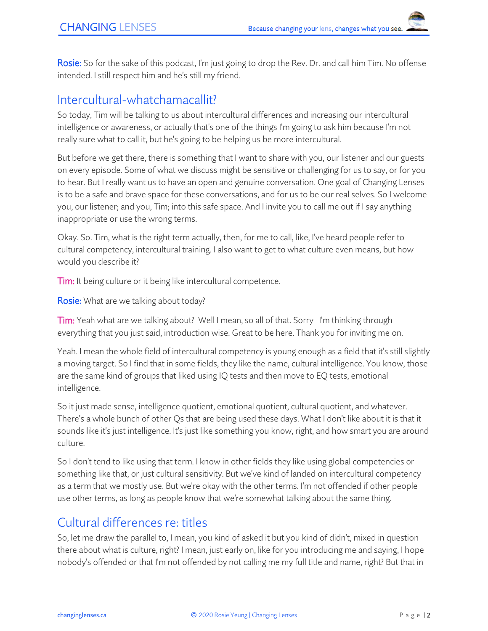Rosie: So for the sake of this podcast, I'm just going to drop the Rev. Dr. and call him Tim. No offense intended. I still respect him and he's still my friend.

### Intercultural-whatchamacallit?

So today, Tim will be talking to us about intercultural differences and increasing our intercultural intelligence or awareness, or actually that's one of the things I'm going to ask him because I'm not really sure what to call it, but he's going to be helping us be more intercultural.

But before we get there, there is something that I want to share with you, our listener and our guests on every episode. Some of what we discuss might be sensitive or challenging for us to say, or for you to hear. But I really want us to have an open and genuine conversation. One goal of Changing Lenses is to be a safe and brave space for these conversations, and for us to be our real selves. So I welcome you, our listener; and you, Tim; into this safe space. And I invite you to call me out if I say anything inappropriate or use the wrong terms.

Okay. So. Tim, what is the right term actually, then, for me to call, like, I've heard people refer to cultural competency, intercultural training. I also want to get to what culture even means, but how would you describe it?

**Tim:** It being culture or it being like intercultural competence.

Rosie: What are we talking about today?

Tim: Yeah what are we talking about? Well I mean, so all of that. Sorry I'm thinking through everything that you just said, introduction wise. Great to be here. Thank you for inviting me on.

Yeah. I mean the whole field of intercultural competency is young enough as a field that it's still slightly a moving target. So I find that in some fields, they like the name, cultural intelligence. You know, those are the same kind of groups that liked using IQ tests and then move to EQ tests, emotional intelligence.

So it just made sense, intelligence quotient, emotional quotient, cultural quotient, and whatever. There's a whole bunch of other Qs that are being used these days. What I don't like about it is that it sounds like it's just intelligence. It's just like something you know, right, and how smart you are around culture.

So I don't tend to like using that term. I know in other fields they like using global competencies or something like that, or just cultural sensitivity. But we've kind of landed on intercultural competency as a term that we mostly use. But we're okay with the other terms. I'm not offended if other people use other terms, as long as people know that we're somewhat talking about the same thing.

#### Cultural differences re: titles

So, let me draw the parallel to, I mean, you kind of asked it but you kind of didn't, mixed in question there about what is culture, right? I mean, just early on, like for you introducing me and saying, I hope nobody's offended or that I'm not offended by not calling me my full title and name, right? But that in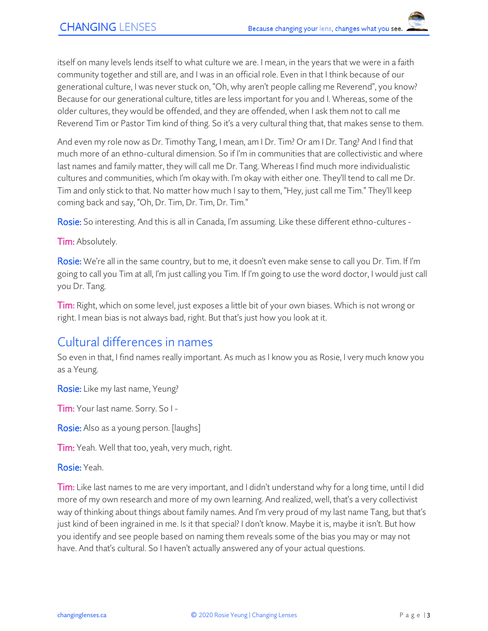itself on many levels lends itself to what culture we are. I mean, in the years that we were in a faith community together and still are, and I was in an official role. Even in that I think because of our generational culture, I was never stuck on, "Oh, why aren't people calling me Reverend", you know? Because for our generational culture, titles are less important for you and I. Whereas, some of the older cultures, they would be offended, and they are offended, when I ask them not to call me Reverend Tim or Pastor Tim kind of thing. So it's a very cultural thing that, that makes sense to them.

And even my role now as Dr. Timothy Tang, I mean, am I Dr. Tim? Or am I Dr. Tang? And I find that much more of an ethno-cultural dimension. So if I'm in communities that are collectivistic and where last names and family matter, they will call me Dr. Tang. Whereas I find much more individualistic cultures and communities, which I'm okay with. I'm okay with either one. They'll tend to call me Dr. Tim and only stick to that. No matter how much I say to them, "Hey, just call me Tim." They'll keep coming back and say, "Oh, Dr. Tim, Dr. Tim, Dr. Tim."

Rosie: So interesting. And this is all in Canada, I'm assuming. Like these different ethno-cultures -

**Tim:** Absolutely.

Rosie: We're all in the same country, but to me, it doesn't even make sense to call you Dr. Tim. If I'm going to call you Tim at all, I'm just calling you Tim. If I'm going to use the word doctor, I would just call you Dr. Tang.

Tim: Right, which on some level, just exposes a little bit of your own biases. Which is not wrong or right. I mean bias is not always bad, right. But that's just how you look at it.

#### Cultural differences in names

So even in that, I find names really important. As much as I know you as Rosie, I very much know you as a Yeung.

Rosie: Like my last name, Yeung?

Tim: Your last name. Sorry. So I -

**Rosie:** Also as a young person. [laughs]

Tim: Yeah. Well that too, yeah, very much, right.

Rosie: Yeah.

Tim: Like last names to me are very important, and I didn't understand why for a long time, until I did more of my own research and more of my own learning. And realized, well, that's a very collectivist way of thinking about things about family names. And I'm very proud of my last name Tang, but that's just kind of been ingrained in me. Is it that special? I don't know. Maybe it is, maybe it isn't. But how you identify and see people based on naming them reveals some of the bias you may or may not have. And that's cultural. So I haven't actually answered any of your actual questions.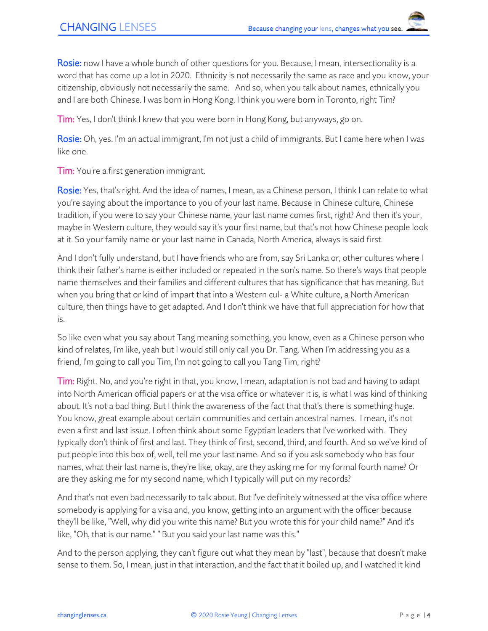Rosie: now I have a whole bunch of other questions for you. Because, I mean, intersectionality is a word that has come up a lot in 2020. Ethnicity is not necessarily the same as race and you know, your citizenship, obviously not necessarily the same. And so, when you talk about names, ethnically you and I are both Chinese. I was born in Hong Kong. I think you were born in Toronto, right Tim?

Tim: Yes, I don't think I knew that you were born in Hong Kong, but anyways, go on.

Rosie: Oh, yes. I'm an actual immigrant, I'm not just a child of immigrants. But I came here when I was like one.

**Tim:** You're a first generation immigrant.

Rosie: Yes, that's right. And the idea of names, I mean, as a Chinese person, I think I can relate to what you're saying about the importance to you of your last name. Because in Chinese culture, Chinese tradition, if you were to say your Chinese name, your last name comes first, right? And then it's your, maybe in Western culture, they would say it's your first name, but that's not how Chinese people look at it. So your family name or your last name in Canada, North America, always is said first.

And I don't fully understand, but I have friends who are from, say Sri Lanka or, other cultures where I think their father's name is either included or repeated in the son's name. So there's ways that people name themselves and their families and different cultures that has significance that has meaning. But when you bring that or kind of impart that into a Western cul- a White culture, a North American culture, then things have to get adapted. And I don't think we have that full appreciation for how that is.

So like even what you say about Tang meaning something, you know, even as a Chinese person who kind of relates, I'm like, yeah but I would still only call you Dr. Tang. When I'm addressing you as a friend, I'm going to call you Tim, I'm not going to call you Tang Tim, right?

Tim: Right. No, and you're right in that, you know, I mean, adaptation is not bad and having to adapt into North American official papers or at the visa office or whatever it is, is what I was kind of thinking about. It's not a bad thing. But I think the awareness of the fact that that's there is something huge. You know, great example about certain communities and certain ancestral names. I mean, it's not even a first and last issue. I often think about some Egyptian leaders that I've worked with. They typically don't think of first and last. They think of first, second, third, and fourth. And so we've kind of put people into this box of, well, tell me your last name. And so if you ask somebody who has four names, what their last name is, they're like, okay, are they asking me for my formal fourth name? Or are they asking me for my second name, which I typically will put on my records?

And that's not even bad necessarily to talk about. But I've definitely witnessed at the visa office where somebody is applying for a visa and, you know, getting into an argument with the officer because they'll be like, "Well, why did you write this name? But you wrote this for your child name?" And it's like, "Oh, that is our name." " But you said your last name was this."

And to the person applying, they can't figure out what they mean by "last", because that doesn't make sense to them. So, I mean, just in that interaction, and the fact that it boiled up, and I watched it kind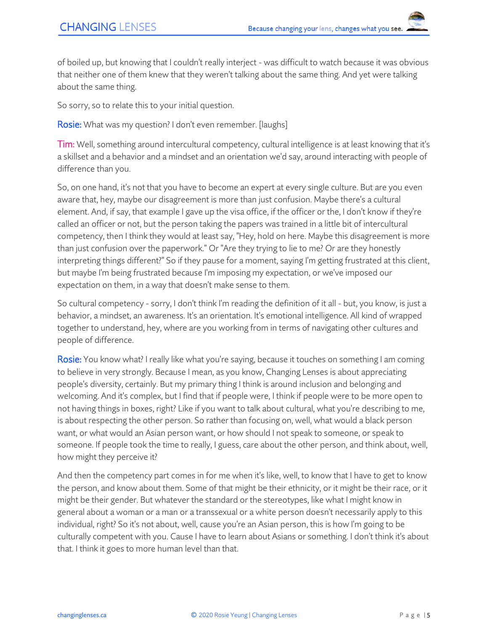of boiled up, but knowing that I couldn't really interject - was difficult to watch because it was obvious that neither one of them knew that they weren't talking about the same thing. And yet were talking about the same thing.

So sorry, so to relate this to your initial question.

Rosie: What was my question? I don't even remember. [laughs]

Tim: Well, something around intercultural competency, cultural intelligence is at least knowing that it's a skillset and a behavior and a mindset and an orientation we'd say, around interacting with people of difference than you.

So, on one hand, it's not that you have to become an expert at every single culture. But are you even aware that, hey, maybe our disagreement is more than just confusion. Maybe there's a cultural element. And, if say, that example I gave up the visa office, if the officer or the, I don't know if they're called an officer or not, but the person taking the papers was trained in a little bit of intercultural competency, then I think they would at least say, "Hey, hold on here. Maybe this disagreement is more than just confusion over the paperwork." Or "Are they trying to lie to me? Or are they honestly interpreting things different?" So if they pause for a moment, saying I'm getting frustrated at this client, but maybe I'm being frustrated because I'm imposing my expectation, or we've imposed our expectation on them, in a way that doesn't make sense to them.

So cultural competency - sorry, I don't think I'm reading the definition of it all - but, you know, is just a behavior, a mindset, an awareness. It's an orientation. It's emotional intelligence. All kind of wrapped together to understand, hey, where are you working from in terms of navigating other cultures and people of difference.

Rosie: You know what? I really like what you're saying, because it touches on something I am coming to believe in very strongly. Because I mean, as you know, Changing Lenses is about appreciating people's diversity, certainly. But my primary thing I think is around inclusion and belonging and welcoming. And it's complex, but I find that if people were, I think if people were to be more open to not having things in boxes, right? Like if you want to talk about cultural, what you're describing to me, is about respecting the other person. So rather than focusing on, well, what would a black person want, or what would an Asian person want, or how should I not speak to someone, or speak to someone. If people took the time to really, I guess, care about the other person, and think about, well, how might they perceive it?

And then the competency part comes in for me when it's like, well, to know that I have to get to know the person, and know about them. Some of that might be their ethnicity, or it might be their race, or it might be their gender. But whatever the standard or the stereotypes, like what I might know in general about a woman or a man or a transsexual or a white person doesn't necessarily apply to this individual, right? So it's not about, well, cause you're an Asian person, this is how I'm going to be culturally competent with you. Cause I have to learn about Asians or something. I don't think it's about that. I think it goes to more human level than that.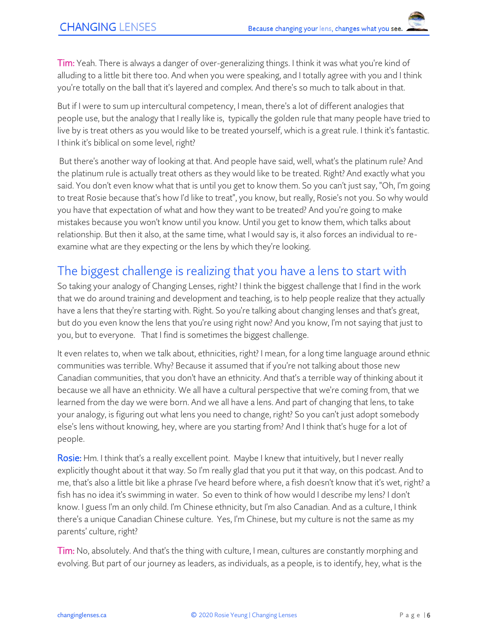Tim: Yeah. There is always a danger of over-generalizing things. I think it was what you're kind of alluding to a little bit there too. And when you were speaking, and I totally agree with you and I think you're totally on the ball that it's layered and complex. And there's so much to talk about in that.

But if I were to sum up intercultural competency, I mean, there's a lot of different analogies that people use, but the analogy that I really like is, typically the golden rule that many people have tried to live by is treat others as you would like to be treated yourself, which is a great rule. I think it's fantastic. I think it's biblical on some level, right?

But there's another way of looking at that. And people have said, well, what's the platinum rule? And the platinum rule is actually treat others as they would like to be treated. Right? And exactly what you said. You don't even know what that is until you get to know them. So you can't just say, "Oh, I'm going to treat Rosie because that's how I'd like to treat", you know, but really, Rosie's not you. So why would you have that expectation of what and how they want to be treated? And you're going to make mistakes because you won't know until you know. Until you get to know them, which talks about relationship. But then it also, at the same time, what I would say is, it also forces an individual to reexamine what are they expecting or the lens by which they're looking.

## The biggest challenge is realizing that you have a lens to start with

So taking your analogy of Changing Lenses, right? I think the biggest challenge that I find in the work that we do around training and development and teaching, is to help people realize that they actually have a lens that they're starting with. Right. So you're talking about changing lenses and that's great, but do you even know the lens that you're using right now? And you know, I'm not saying that just to you, but to everyone. That I find is sometimes the biggest challenge.

It even relates to, when we talk about, ethnicities, right? I mean, for a long time language around ethnic communities was terrible. Why? Because it assumed that if you're not talking about those new Canadian communities, that you don't have an ethnicity. And that's a terrible way of thinking about it because we all have an ethnicity. We all have a cultural perspective that we're coming from, that we learned from the day we were born. And we all have a lens. And part of changing that lens, to take your analogy, is figuring out what lens you need to change, right? So you can't just adopt somebody else's lens without knowing, hey, where are you starting from? And I think that's huge for a lot of people.

Rosie: Hm. I think that's a really excellent point. Maybe I knew that intuitively, but I never really explicitly thought about it that way. So I'm really glad that you put it that way, on this podcast. And to me, that's also a little bit like a phrase I've heard before where, a fish doesn't know that it's wet, right? a fish has no idea it's swimming in water. So even to think of how would I describe my lens? I don't know. I guess I'm an only child. I'm Chinese ethnicity, but I'm also Canadian. And as a culture, I think there's a unique Canadian Chinese culture. Yes, I'm Chinese, but my culture is not the same as my parents' culture, right?

Tim: No, absolutely. And that's the thing with culture, I mean, cultures are constantly morphing and evolving. But part of our journey as leaders, as individuals, as a people, is to identify, hey, what is the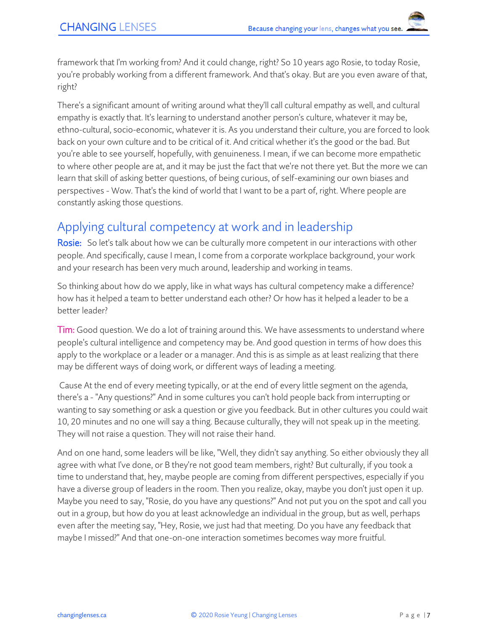framework that I'm working from? And it could change, right? So 10 years ago Rosie, to today Rosie, you're probably working from a different framework. And that's okay. But are you even aware of that, right?

There's a significant amount of writing around what they'll call cultural empathy as well, and cultural empathy is exactly that. It's learning to understand another person's culture, whatever it may be, ethno-cultural, socio-economic, whatever it is. As you understand their culture, you are forced to look back on your own culture and to be critical of it. And critical whether it's the good or the bad. But you're able to see yourself, hopefully, with genuineness. I mean, if we can become more empathetic to where other people are at, and it may be just the fact that we're not there yet. But the more we can learn that skill of asking better questions, of being curious, of self-examining our own biases and perspectives - Wow. That's the kind of world that I want to be a part of, right. Where people are constantly asking those questions.

## Applying cultural competency at work and in leadership

Rosie: So let's talk about how we can be culturally more competent in our interactions with other people. And specifically, cause I mean, I come from a corporate workplace background, your work and your research has been very much around, leadership and working in teams.

So thinking about how do we apply, like in what ways has cultural competency make a difference? how has it helped a team to better understand each other? Or how has it helped a leader to be a better leader?

Tim: Good question. We do a lot of training around this. We have assessments to understand where people's cultural intelligence and competency may be. And good question in terms of how does this apply to the workplace or a leader or a manager. And this is as simple as at least realizing that there may be different ways of doing work, or different ways of leading a meeting.

Cause At the end of every meeting typically, or at the end of every little segment on the agenda, there's a - "Any questions?" And in some cultures you can't hold people back from interrupting or wanting to say something or ask a question or give you feedback. But in other cultures you could wait 10, 20 minutes and no one will say a thing. Because culturally, they will not speak up in the meeting. They will not raise a question. They will not raise their hand.

And on one hand, some leaders will be like, "Well, they didn't say anything. So either obviously they all agree with what I've done, or B they're not good team members, right? But culturally, if you took a time to understand that, hey, maybe people are coming from different perspectives, especially if you have a diverse group of leaders in the room. Then you realize, okay, maybe you don't just open it up. Maybe you need to say, "Rosie, do you have any questions?" And not put you on the spot and call you out in a group, but how do you at least acknowledge an individual in the group, but as well, perhaps even after the meeting say, "Hey, Rosie, we just had that meeting. Do you have any feedback that maybe I missed?" And that one-on-one interaction sometimes becomes way more fruitful.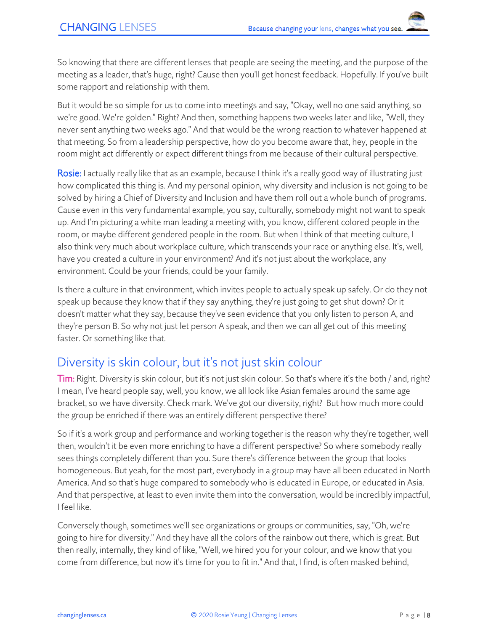So knowing that there are different lenses that people are seeing the meeting, and the purpose of the meeting as a leader, that's huge, right? Cause then you'll get honest feedback. Hopefully. If you've built some rapport and relationship with them.

But it would be so simple for us to come into meetings and say, "Okay, well no one said anything, so we're good. We're golden." Right? And then, something happens two weeks later and like, "Well, they never sent anything two weeks ago." And that would be the wrong reaction to whatever happened at that meeting. So from a leadership perspective, how do you become aware that, hey, people in the room might act differently or expect different things from me because of their cultural perspective.

Rosie: I actually really like that as an example, because I think it's a really good way of illustrating just how complicated this thing is. And my personal opinion, why diversity and inclusion is not going to be solved by hiring a Chief of Diversity and Inclusion and have them roll out a whole bunch of programs. Cause even in this very fundamental example, you say, culturally, somebody might not want to speak up. And I'm picturing a white man leading a meeting with, you know, different colored people in the room, or maybe different gendered people in the room. But when I think of that meeting culture, I also think very much about workplace culture, which transcends your race or anything else. It's, well, have you created a culture in your environment? And it's not just about the workplace, any environment. Could be your friends, could be your family.

Is there a culture in that environment, which invites people to actually speak up safely. Or do they not speak up because they know that if they say anything, they're just going to get shut down? Or it doesn't matter what they say, because they've seen evidence that you only listen to person A, and they're person B. So why not just let person A speak, and then we can all get out of this meeting faster. Or something like that.

## Diversity is skin colour, but it's not just skin colour

Tim: Right. Diversity is skin colour, but it's not just skin colour. So that's where it's the both / and, right? I mean, I've heard people say, well, you know, we all look like Asian females around the same age bracket, so we have diversity. Check mark. We've got our diversity, right? But how much more could the group be enriched if there was an entirely different perspective there?

So if it's a work group and performance and working together is the reason why they're together, well then, wouldn't it be even more enriching to have a different perspective? So where somebody really sees things completely different than you. Sure there's difference between the group that looks homogeneous. But yeah, for the most part, everybody in a group may have all been educated in North America. And so that's huge compared to somebody who is educated in Europe, or educated in Asia. And that perspective, at least to even invite them into the conversation, would be incredibly impactful, I feel like.

Conversely though, sometimes we'll see organizations or groups or communities, say, "Oh, we're going to hire for diversity." And they have all the colors of the rainbow out there, which is great. But then really, internally, they kind of like, "Well, we hired you for your colour, and we know that you come from difference, but now it's time for you to fit in." And that, I find, is often masked behind,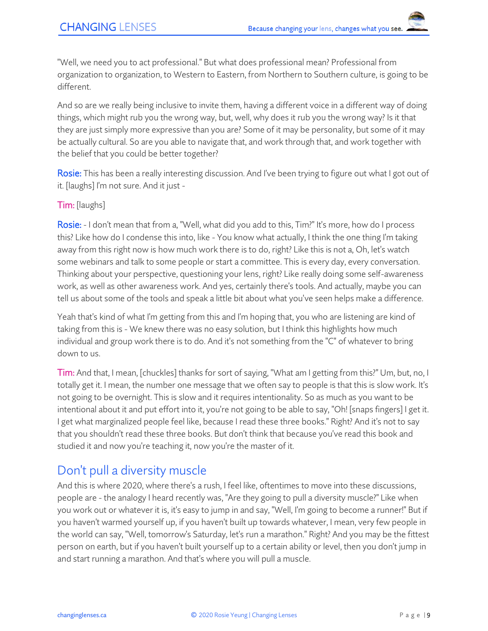"Well, we need you to act professional." But what does professional mean? Professional from organization to organization, to Western to Eastern, from Northern to Southern culture, is going to be different.

And so are we really being inclusive to invite them, having a different voice in a different way of doing things, which might rub you the wrong way, but, well, why does it rub you the wrong way? Is it that they are just simply more expressive than you are? Some of it may be personality, but some of it may be actually cultural. So are you able to navigate that, and work through that, and work together with the belief that you could be better together?

Rosie: This has been a really interesting discussion. And I've been trying to figure out what I got out of it. [laughs] I'm not sure. And it just -

#### Tim: [laughs]

Rosie: - I don't mean that from a, "Well, what did you add to this, Tim?" It's more, how do I process this? Like how do I condense this into, like - You know what actually, I think the one thing I'm taking away from this right now is how much work there is to do, right? Like this is not a, Oh, let's watch some webinars and talk to some people or start a committee. This is every day, every conversation. Thinking about your perspective, questioning your lens, right? Like really doing some self-awareness work, as well as other awareness work. And yes, certainly there's tools. And actually, maybe you can tell us about some of the tools and speak a little bit about what you've seen helps make a difference.

Yeah that's kind of what I'm getting from this and I'm hoping that, you who are listening are kind of taking from this is - We knew there was no easy solution, but I think this highlights how much individual and group work there is to do. And it's not something from the "C" of whatever to bring down to us.

Tim: And that, I mean, [chuckles] thanks for sort of saying, "What am I getting from this?" Um, but, no, I totally get it. I mean, the number one message that we often say to people is that this is slow work. It's not going to be overnight. This is slow and it requires intentionality. So as much as you want to be intentional about it and put effort into it, you're not going to be able to say, "Oh! [snaps fingers] I get it. I get what marginalized people feel like, because I read these three books." Right? And it's not to say that you shouldn't read these three books. But don't think that because you've read this book and studied it and now you're teaching it, now you're the master of it.

## Don't pull a diversity muscle

And this is where 2020, where there's a rush, I feel like, oftentimes to move into these discussions, people are - the analogy I heard recently was, "Are they going to pull a diversity muscle?" Like when you work out or whatever it is, it's easy to jump in and say, "Well, I'm going to become a runner!" But if you haven't warmed yourself up, if you haven't built up towards whatever, I mean, very few people in the world can say, "Well, tomorrow's Saturday, let's run a marathon." Right? And you may be the fittest person on earth, but if you haven't built yourself up to a certain ability or level, then you don't jump in and start running a marathon. And that's where you will pull a muscle.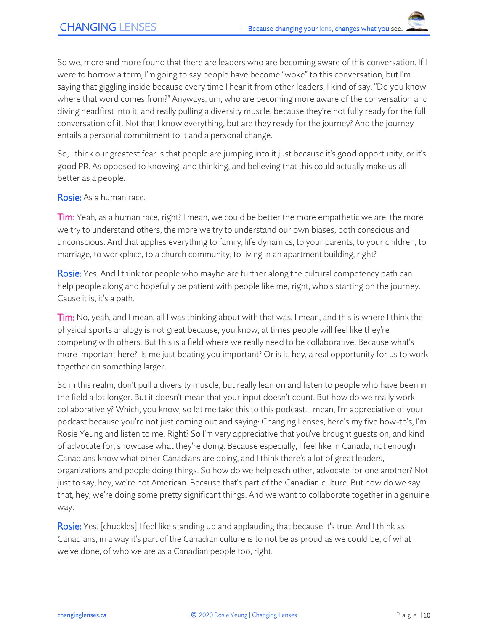So we, more and more found that there are leaders who are becoming aware of this conversation. If I were to borrow a term, I'm going to say people have become "woke" to this conversation, but I'm saying that giggling inside because every time I hear it from other leaders, I kind of say, "Do you know where that word comes from?" Anyways, um, who are becoming more aware of the conversation and diving headfirst into it, and really pulling a diversity muscle, because they're not fully ready for the full conversation of it. Not that I know everything, but are they ready for the journey? And the journey entails a personal commitment to it and a personal change.

So, I think our greatest fear is that people are jumping into it just because it's good opportunity, or it's good PR. As opposed to knowing, and thinking, and believing that this could actually make us all better as a people.

Rosie: As a human race.

Tim: Yeah, as a human race, right? I mean, we could be better the more empathetic we are, the more we try to understand others, the more we try to understand our own biases, both conscious and unconscious. And that applies everything to family, life dynamics, to your parents, to your children, to marriage, to workplace, to a church community, to living in an apartment building, right?

**Rosie:** Yes. And I think for people who maybe are further along the cultural competency path can help people along and hopefully be patient with people like me, right, who's starting on the journey. Cause it is, it's a path.

Tim: No, yeah, and I mean, all I was thinking about with that was, I mean, and this is where I think the physical sports analogy is not great because, you know, at times people will feel like they're competing with others. But this is a field where we really need to be collaborative. Because what's more important here? Is me just beating you important? Or is it, hey, a real opportunity for us to work together on something larger.

So in this realm, don't pull a diversity muscle, but really lean on and listen to people who have been in the field a lot longer. But it doesn't mean that your input doesn't count. But how do we really work collaboratively? Which, you know, so let me take this to this podcast. I mean, I'm appreciative of your podcast because you're not just coming out and saying: Changing Lenses, here's my five how-to's, I'm Rosie Yeung and listen to me. Right? So I'm very appreciative that you've brought guests on, and kind of advocate for, showcase what they're doing. Because especially, I feel like in Canada, not enough Canadians know what other Canadians are doing, and I think there's a lot of great leaders, organizations and people doing things. So how do we help each other, advocate for one another? Not just to say, hey, we're not American. Because that's part of the Canadian culture. But how do we say that, hey, we're doing some pretty significant things. And we want to collaborate together in a genuine way.

Rosie: Yes. [chuckles] I feel like standing up and applauding that because it's true. And I think as Canadians, in a way it's part of the Canadian culture is to not be as proud as we could be, of what we've done, of who we are as a Canadian people too, right.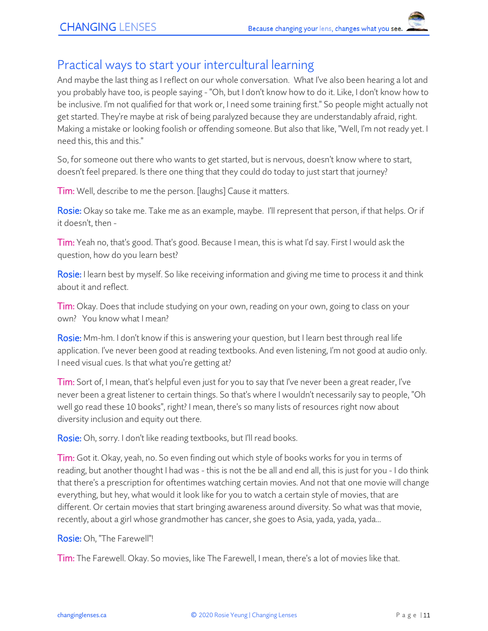### Practical ways to start your intercultural learning

And maybe the last thing as I reflect on our whole conversation. What I've also been hearing a lot and you probably have too, is people saying - "Oh, but I don't know how to do it. Like, I don't know how to be inclusive. I'm not qualified for that work or, I need some training first." So people might actually not get started. They're maybe at risk of being paralyzed because they are understandably afraid, right. Making a mistake or looking foolish or offending someone. But also that like, "Well, I'm not ready yet. I need this, this and this."

So, for someone out there who wants to get started, but is nervous, doesn't know where to start, doesn't feel prepared. Is there one thing that they could do today to just start that journey?

**Tim:** Well, describe to me the person. [laughs] Cause it matters.

Rosie: Okay so take me. Take me as an example, maybe. I'll represent that person, if that helps. Or if it doesn't, then -

Tim: Yeah no, that's good. That's good. Because I mean, this is what I'd say. First I would ask the question, how do you learn best?

Rosie: I learn best by myself. So like receiving information and giving me time to process it and think about it and reflect.

Tim: Okay. Does that include studying on your own, reading on your own, going to class on your own? You know what I mean?

Rosie: Mm-hm. I don't know if this is answering your question, but I learn best through real life application. I've never been good at reading textbooks. And even listening, I'm not good at audio only. I need visual cues. Is that what you're getting at?

Tim: Sort of, I mean, that's helpful even just for you to say that I've never been a great reader, I've never been a great listener to certain things. So that's where I wouldn't necessarily say to people, "Oh well go read these 10 books", right? I mean, there's so many lists of resources right now about diversity inclusion and equity out there.

Rosie: Oh, sorry. I don't like reading textbooks, but I'll read books.

Tim: Got it. Okay, yeah, no. So even finding out which style of books works for you in terms of reading, but another thought I had was - this is not the be all and end all, this is just for you - I do think that there's a prescription for oftentimes watching certain movies. And not that one movie will change everything, but hey, what would it look like for you to watch a certain style of movies, that are different. Or certain movies that start bringing awareness around diversity. So what was that movie, recently, about a girl whose grandmother has cancer, she goes to Asia, yada, yada, yada...

#### Rosie: Oh, "The Farewell"!

Tim: The Farewell. Okay. So movies, like The Farewell, I mean, there's a lot of movies like that.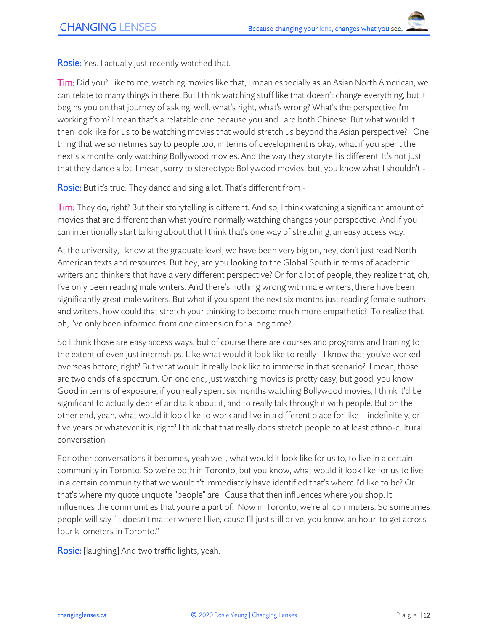**Rosie:** Yes. I actually just recently watched that.

Tim: Did you? Like to me, watching movies like that, I mean especially as an Asian North American, we can relate to many things in there. But I think watching stuff like that doesn't change everything, but it begins you on that journey of asking, well, what's right, what's wrong? What's the perspective I'm working from? I mean that's a relatable one because you and I are both Chinese. But what would it then look like for us to be watching movies that would stretch us beyond the Asian perspective? One thing that we sometimes say to people too, in terms of development is okay, what if you spent the next six months only watching Bollywood movies. And the way they storytell is different. It's not just that they dance a lot. I mean, sorry to stereotype Bollywood movies, but, you know what I shouldn't -

Rosie: But it's true. They dance and sing a lot. That's different from -

Tim: They do, right? But their storytelling is different. And so, I think watching a significant amount of movies that are different than what you're normally watching changes your perspective. And if you can intentionally start talking about that I think that's one way of stretching, an easy access way.

At the university, I know at the graduate level, we have been very big on, hey, don't just read North American texts and resources. But hey, are you looking to the Global South in terms of academic writers and thinkers that have a very different perspective? Or for a lot of people, they realize that, oh, I've only been reading male writers. And there's nothing wrong with male writers, there have been significantly great male writers. But what if you spent the next six months just reading female authors and writers, how could that stretch your thinking to become much more empathetic? To realize that, oh, I've only been informed from one dimension for a long time?

So I think those are easy access ways, but of course there are courses and programs and training to the extent of even just internships. Like what would it look like to really - I know that you've worked overseas before, right? But what would it really look like to immerse in that scenario? I mean, those are two ends of a spectrum. On one end, just watching movies is pretty easy, but good, you know. Good in terms of exposure, if you really spent six months watching Bollywood movies, I think it'd be significant to actually debrief and talk about it, and to really talk through it with people. But on the other end, yeah, what would it look like to work and live in a different place for like – indefinitely, or five years or whatever it is, right? I think that that really does stretch people to at least ethno-cultural conversation.

For other conversations it becomes, yeah well, what would it look like for us to, to live in a certain community in Toronto. So we're both in Toronto, but you know, what would it look like for us to live in a certain community that we wouldn't immediately have identified that's where I'd like to be? Or that's where my quote unquote "people" are. Cause that then influences where you shop. It influences the communities that you're a part of. Now in Toronto, we're all commuters. So sometimes people will say "It doesn't matter where I live, cause I'll just still drive, you know, an hour, to get across four kilometers in Toronto."

Rosie: [laughing] And two traffic lights, yeah.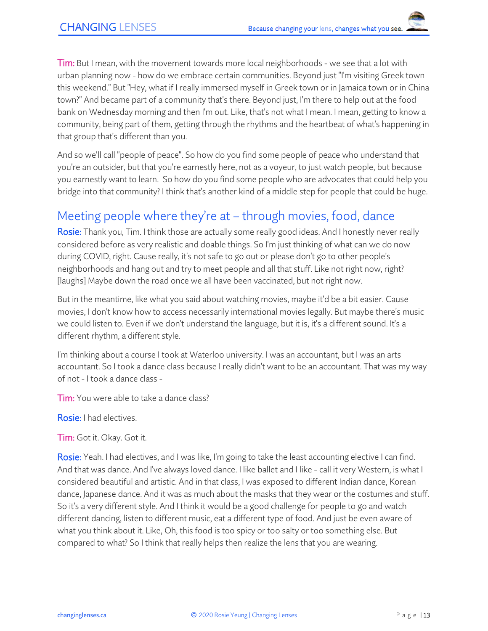**Tim:** But I mean, with the movement towards more local neighborhoods - we see that a lot with urban planning now - how do we embrace certain communities. Beyond just "I'm visiting Greek town this weekend." But "Hey, what if I really immersed myself in Greek town or in Jamaica town or in China town?" And became part of a community that's there. Beyond just, I'm there to help out at the food bank on Wednesday morning and then I'm out. Like, that's not what I mean. I mean, getting to know a community, being part of them, getting through the rhythms and the heartbeat of what's happening in that group that's different than you.

And so we'll call "people of peace". So how do you find some people of peace who understand that you're an outsider, but that you're earnestly here, not as a voyeur, to just watch people, but because you earnestly want to learn. So how do you find some people who are advocates that could help you bridge into that community? I think that's another kind of a middle step for people that could be huge.

## Meeting people where they're at – through movies, food, dance

Rosie: Thank you, Tim. I think those are actually some really good ideas. And I honestly never really considered before as very realistic and doable things. So I'm just thinking of what can we do now during COVID, right. Cause really, it's not safe to go out or please don't go to other people's neighborhoods and hang out and try to meet people and all that stuff. Like not right now, right? [laughs] Maybe down the road once we all have been vaccinated, but not right now.

But in the meantime, like what you said about watching movies, maybe it'd be a bit easier. Cause movies, I don't know how to access necessarily international movies legally. But maybe there's music we could listen to. Even if we don't understand the language, but it is, it's a different sound. It's a different rhythm, a different style.

I'm thinking about a course I took at Waterloo university. I was an accountant, but I was an arts accountant. So I took a dance class because I really didn't want to be an accountant. That was my way of not - I took a dance class -

Tim: You were able to take a dance class?

Rosie: I had electives.

Tim: Got it. Okay. Got it.

Rosie: Yeah. I had electives, and I was like, I'm going to take the least accounting elective I can find. And that was dance. And I've always loved dance. I like ballet and I like - call it very Western, is what I considered beautiful and artistic. And in that class, I was exposed to different Indian dance, Korean dance, Japanese dance. And it was as much about the masks that they wear or the costumes and stuff. So it's a very different style. And I think it would be a good challenge for people to go and watch different dancing, listen to different music, eat a different type of food. And just be even aware of what you think about it. Like, Oh, this food is too spicy or too salty or too something else. But compared to what? So I think that really helps then realize the lens that you are wearing.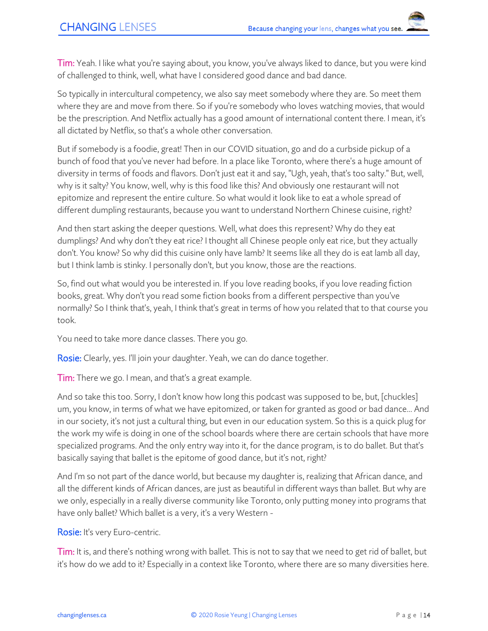Tim: Yeah. I like what you're saying about, you know, you've always liked to dance, but you were kind of challenged to think, well, what have I considered good dance and bad dance.

So typically in intercultural competency, we also say meet somebody where they are. So meet them where they are and move from there. So if you're somebody who loves watching movies, that would be the prescription. And Netflix actually has a good amount of international content there. I mean, it's all dictated by Netflix, so that's a whole other conversation.

But if somebody is a foodie, great! Then in our COVID situation, go and do a curbside pickup of a bunch of food that you've never had before. In a place like Toronto, where there's a huge amount of diversity in terms of foods and flavors. Don't just eat it and say, "Ugh, yeah, that's too salty." But, well, why is it salty? You know, well, why is this food like this? And obviously one restaurant will not epitomize and represent the entire culture. So what would it look like to eat a whole spread of different dumpling restaurants, because you want to understand Northern Chinese cuisine, right?

And then start asking the deeper questions. Well, what does this represent? Why do they eat dumplings? And why don't they eat rice? I thought all Chinese people only eat rice, but they actually don't. You know? So why did this cuisine only have lamb? It seems like all they do is eat lamb all day, but I think lamb is stinky. I personally don't, but you know, those are the reactions.

So, find out what would you be interested in. If you love reading books, if you love reading fiction books, great. Why don't you read some fiction books from a different perspective than you've normally? So I think that's, yeah, I think that's great in terms of how you related that to that course you took.

You need to take more dance classes. There you go.

Rosie: Clearly, yes. I'll join your daughter. Yeah, we can do dance together.

**Tim:** There we go. I mean, and that's a great example.

And so take this too. Sorry, I don't know how long this podcast was supposed to be, but, [chuckles] um, you know, in terms of what we have epitomized, or taken for granted as good or bad dance... And in our society, it's not just a cultural thing, but even in our education system. So this is a quick plug for the work my wife is doing in one of the school boards where there are certain schools that have more specialized programs. And the only entry way into it, for the dance program, is to do ballet. But that's basically saying that ballet is the epitome of good dance, but it's not, right?

And I'm so not part of the dance world, but because my daughter is, realizing that African dance, and all the different kinds of African dances, are just as beautiful in different ways than ballet. But why are we only, especially in a really diverse community like Toronto, only putting money into programs that have only ballet? Which ballet is a very, it's a very Western -

Rosie: It's very Euro-centric.

Tim: It is, and there's nothing wrong with ballet. This is not to say that we need to get rid of ballet, but it's how do we add to it? Especially in a context like Toronto, where there are so many diversities here.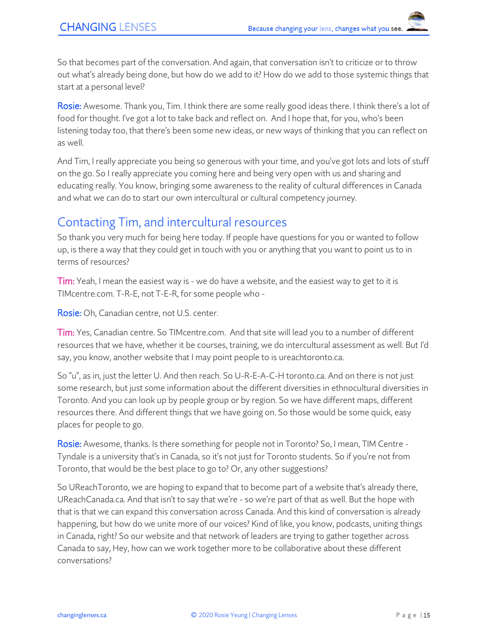So that becomes part of the conversation. And again, that conversation isn't to criticize or to throw out what's already being done, but how do we add to it? How do we add to those systemic things that start at a personal level?

Rosie: Awesome. Thank you, Tim. I think there are some really good ideas there. I think there's a lot of food for thought. I've got a lot to take back and reflect on. And I hope that, for you, who's been listening today too, that there's been some new ideas, or new ways of thinking that you can reflect on as well.

And Tim, I really appreciate you being so generous with your time, and you've got lots and lots of stuff on the go. So I really appreciate you coming here and being very open with us and sharing and educating really. You know, bringing some awareness to the reality of cultural differences in Canada and what we can do to start our own intercultural or cultural competency journey.

## Contacting Tim, and intercultural resources

So thank you very much for being here today. If people have questions for you or wanted to follow up, is there a way that they could get in touch with you or anything that you want to point us to in terms of resources?

Tim: Yeah, I mean the easiest way is - we do have a website, and the easiest way to get to it is TIMcentre.com. T-R-E, not T-E-R, for some people who -

Rosie: Oh, Canadian centre, not U.S. center.

Tim: Yes, Canadian centre. So TIMcentre.com. And that site will lead you to a number of different resources that we have, whether it be courses, training, we do intercultural assessment as well. But I'd say, you know, another website that I may point people to is ureachtoronto.ca.

So "u", as in, just the letter U. And then reach. So U-R-E-A-C-H toronto.ca. And on there is not just some research, but just some information about the different diversities in ethnocultural diversities in Toronto. And you can look up by people group or by region. So we have different maps, different resources there. And different things that we have going on. So those would be some quick, easy places for people to go.

Rosie: Awesome, thanks. Is there something for people not in Toronto? So, I mean, TIM Centre - Tyndale is a university that's in Canada, so it's not just for Toronto students. So if you're not from Toronto, that would be the best place to go to? Or, any other suggestions?

So UReachToronto, we are hoping to expand that to become part of a website that's already there, UReachCanada.ca. And that isn't to say that we're - so we're part of that as well. But the hope with that is that we can expand this conversation across Canada. And this kind of conversation is already happening, but how do we unite more of our voices? Kind of like, you know, podcasts, uniting things in Canada, right? So our website and that network of leaders are trying to gather together across Canada to say, Hey, how can we work together more to be collaborative about these different conversations?